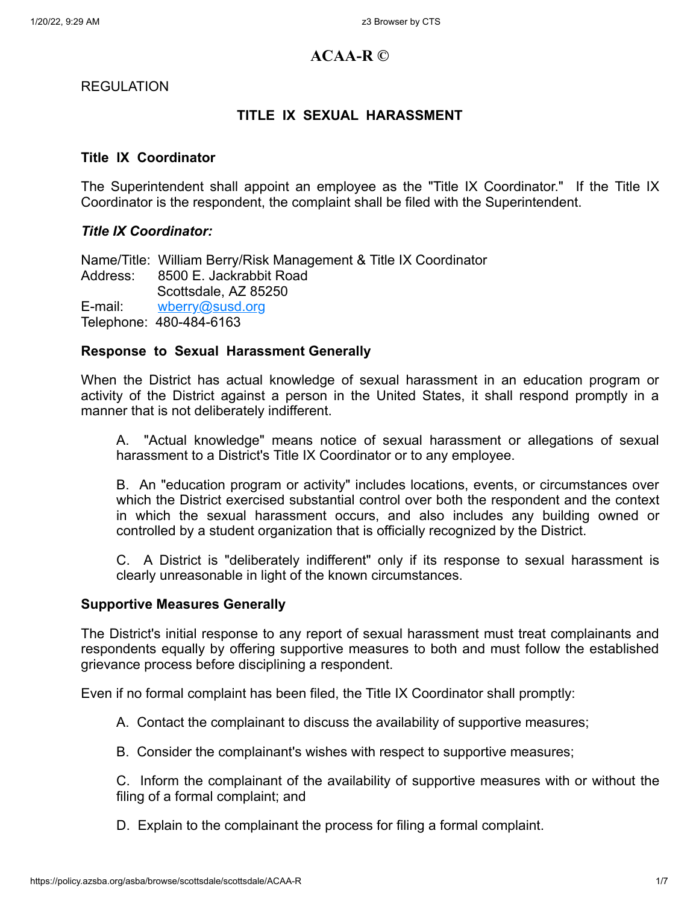# **ACAA-R ©**

REGULATION

# **TITLE IX SEXUAL HARASSMENT**

## **Title IX Coordinator**

The Superintendent shall appoint an employee as the "Title IX Coordinator." If the Title IX Coordinator is the respondent, the complaint shall be filed with the Superintendent.

# *Title IX Coordinator:*

Name/Title: William Berry/Risk Management & Title IX Coordinator Address: 8500 E. Jackrabbit Road Scottsdale, AZ 85250 E-mail: [wberry@susd.org](http://www.susd.org/) Telephone: 480-484-6163

#### **Response to Sexual Harassment Generally**

When the District has actual knowledge of sexual harassment in an education program or activity of the District against a person in the United States, it shall respond promptly in a manner that is not deliberately indifferent.

A. "Actual knowledge" means notice of sexual harassment or allegations of sexual harassment to a District's Title IX Coordinator or to any employee.

B. An "education program or activity" includes locations, events, or circumstances over which the District exercised substantial control over both the respondent and the context in which the sexual harassment occurs, and also includes any building owned or controlled by a student organization that is officially recognized by the District.

C. A District is "deliberately indifferent" only if its response to sexual harassment is clearly unreasonable in light of the known circumstances.

#### **Supportive Measures Generally**

The District's initial response to any report of sexual harassment must treat complainants and respondents equally by offering supportive measures to both and must follow the established grievance process before disciplining a respondent.

Even if no formal complaint has been filed, the Title IX Coordinator shall promptly:

- A. Contact the complainant to discuss the availability of supportive measures;
- B. Consider the complainant's wishes with respect to supportive measures;

C. Inform the complainant of the availability of supportive measures with or without the filing of a formal complaint; and

D. Explain to the complainant the process for filing a formal complaint.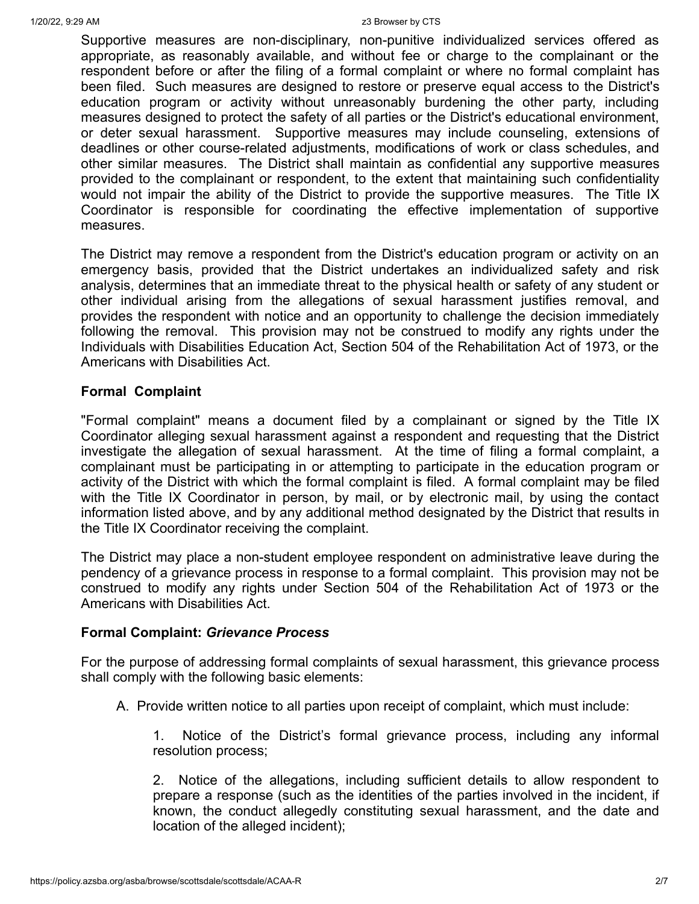#### 1/20/22, 9:29 AM z3 Browser by CTS

Supportive measures are non-disciplinary, non-punitive individualized services offered as appropriate, as reasonably available, and without fee or charge to the complainant or the respondent before or after the filing of a formal complaint or where no formal complaint has been filed. Such measures are designed to restore or preserve equal access to the District's education program or activity without unreasonably burdening the other party, including measures designed to protect the safety of all parties or the District's educational environment, or deter sexual harassment. Supportive measures may include counseling, extensions of deadlines or other course-related adjustments, modifications of work or class schedules, and other similar measures. The District shall maintain as confidential any supportive measures provided to the complainant or respondent, to the extent that maintaining such confidentiality would not impair the ability of the District to provide the supportive measures. The Title IX Coordinator is responsible for coordinating the effective implementation of supportive measures.

The District may remove a respondent from the District's education program or activity on an emergency basis, provided that the District undertakes an individualized safety and risk analysis, determines that an immediate threat to the physical health or safety of any student or other individual arising from the allegations of sexual harassment justifies removal, and provides the respondent with notice and an opportunity to challenge the decision immediately following the removal. This provision may not be construed to modify any rights under the Individuals with Disabilities Education Act, Section 504 of the Rehabilitation Act of 1973, or the Americans with Disabilities Act.

#### **Formal Complaint**

"Formal complaint" means a document filed by a complainant or signed by the Title IX Coordinator alleging sexual harassment against a respondent and requesting that the District investigate the allegation of sexual harassment. At the time of filing a formal complaint, a complainant must be participating in or attempting to participate in the education program or activity of the District with which the formal complaint is filed. A formal complaint may be filed with the Title IX Coordinator in person, by mail, or by electronic mail, by using the contact information listed above, and by any additional method designated by the District that results in the Title IX Coordinator receiving the complaint.

The District may place a non-student employee respondent on administrative leave during the pendency of a grievance process in response to a formal complaint. This provision may not be construed to modify any rights under Section 504 of the Rehabilitation Act of 1973 or the Americans with Disabilities Act.

#### **Formal Complaint:** *Grievance Process*

For the purpose of addressing formal complaints of sexual harassment, this grievance process shall comply with the following basic elements:

A. Provide written notice to all parties upon receipt of complaint, which must include:

1. Notice of the District's formal grievance process, including any informal resolution process;

2. Notice of the allegations, including sufficient details to allow respondent to prepare a response (such as the identities of the parties involved in the incident, if known, the conduct allegedly constituting sexual harassment, and the date and location of the alleged incident);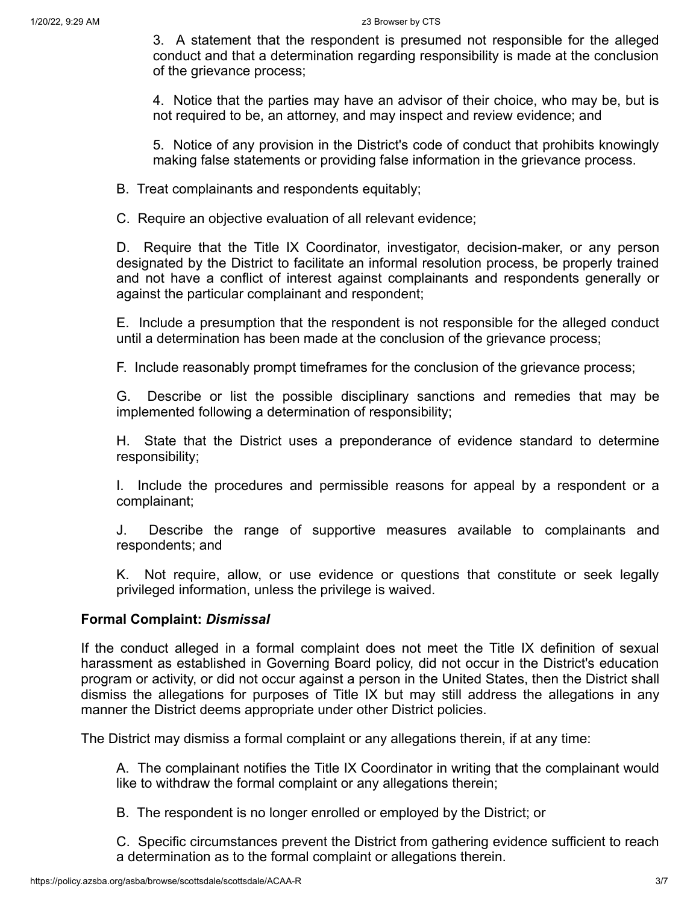3. A statement that the respondent is presumed not responsible for the alleged conduct and that a determination regarding responsibility is made at the conclusion of the grievance process;

4. Notice that the parties may have an advisor of their choice, who may be, but is not required to be, an attorney, and may inspect and review evidence; and

5. Notice of any provision in the District's code of conduct that prohibits knowingly making false statements or providing false information in the grievance process.

B. Treat complainants and respondents equitably;

C. Require an objective evaluation of all relevant evidence;

D. Require that the Title IX Coordinator, investigator, decision-maker, or any person designated by the District to facilitate an informal resolution process, be properly trained and not have a conflict of interest against complainants and respondents generally or against the particular complainant and respondent;

E. Include a presumption that the respondent is not responsible for the alleged conduct until a determination has been made at the conclusion of the grievance process;

F. Include reasonably prompt timeframes for the conclusion of the grievance process;

G. Describe or list the possible disciplinary sanctions and remedies that may be implemented following a determination of responsibility;

H. State that the District uses a preponderance of evidence standard to determine responsibility;

I. Include the procedures and permissible reasons for appeal by a respondent or a complainant;

J. Describe the range of supportive measures available to complainants and respondents; and

K. Not require, allow, or use evidence or questions that constitute or seek legally privileged information, unless the privilege is waived.

# **Formal Complaint:** *Dismissal*

If the conduct alleged in a formal complaint does not meet the Title IX definition of sexual harassment as established in Governing Board policy, did not occur in the District's education program or activity, or did not occur against a person in the United States, then the District shall dismiss the allegations for purposes of Title IX but may still address the allegations in any manner the District deems appropriate under other District policies.

The District may dismiss a formal complaint or any allegations therein, if at any time:

A. The complainant notifies the Title IX Coordinator in writing that the complainant would like to withdraw the formal complaint or any allegations therein;

B. The respondent is no longer enrolled or employed by the District; or

C. Specific circumstances prevent the District from gathering evidence sufficient to reach a determination as to the formal complaint or allegations therein.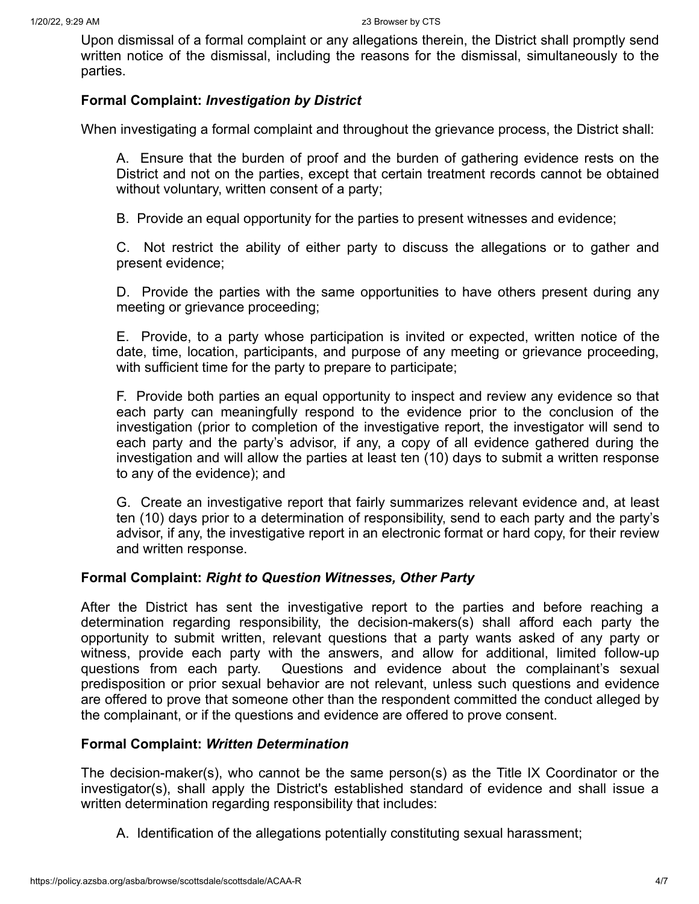Upon dismissal of a formal complaint or any allegations therein, the District shall promptly send written notice of the dismissal, including the reasons for the dismissal, simultaneously to the parties.

# **Formal Complaint:** *Investigation by District*

When investigating a formal complaint and throughout the grievance process, the District shall:

A. Ensure that the burden of proof and the burden of gathering evidence rests on the District and not on the parties, except that certain treatment records cannot be obtained without voluntary, written consent of a party;

B. Provide an equal opportunity for the parties to present witnesses and evidence;

C. Not restrict the ability of either party to discuss the allegations or to gather and present evidence;

D. Provide the parties with the same opportunities to have others present during any meeting or grievance proceeding;

E. Provide, to a party whose participation is invited or expected, written notice of the date, time, location, participants, and purpose of any meeting or grievance proceeding, with sufficient time for the party to prepare to participate;

F. Provide both parties an equal opportunity to inspect and review any evidence so that each party can meaningfully respond to the evidence prior to the conclusion of the investigation (prior to completion of the investigative report, the investigator will send to each party and the party's advisor, if any, a copy of all evidence gathered during the investigation and will allow the parties at least ten (10) days to submit a written response to any of the evidence); and

G. Create an investigative report that fairly summarizes relevant evidence and, at least ten (10) days prior to a determination of responsibility, send to each party and the party's advisor, if any, the investigative report in an electronic format or hard copy, for their review and written response.

# **Formal Complaint:** *Right to Question Witnesses, Other Party*

After the District has sent the investigative report to the parties and before reaching a determination regarding responsibility, the decision-makers(s) shall afford each party the opportunity to submit written, relevant questions that a party wants asked of any party or witness, provide each party with the answers, and allow for additional, limited follow-up questions from each party. Questions and evidence about the complainant's sexual predisposition or prior sexual behavior are not relevant, unless such questions and evidence are offered to prove that someone other than the respondent committed the conduct alleged by the complainant, or if the questions and evidence are offered to prove consent.

# **Formal Complaint:** *Written Determination*

The decision-maker(s), who cannot be the same person(s) as the Title IX Coordinator or the investigator(s), shall apply the District's established standard of evidence and shall issue a written determination regarding responsibility that includes:

A. Identification of the allegations potentially constituting sexual harassment;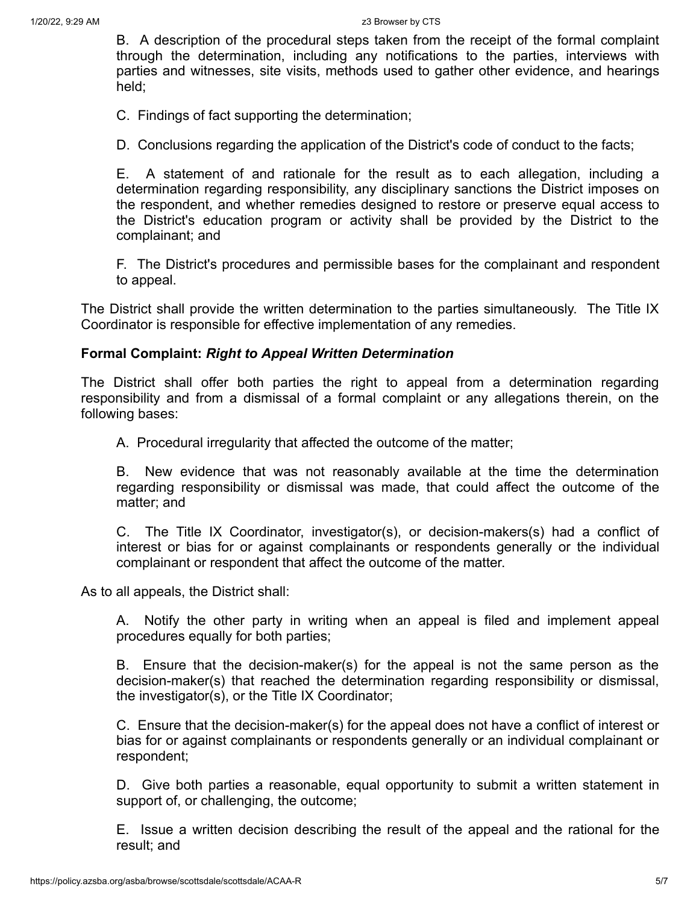1/20/22, 9:29 AM z3 Browser by CTS

B. A description of the procedural steps taken from the receipt of the formal complaint through the determination, including any notifications to the parties, interviews with parties and witnesses, site visits, methods used to gather other evidence, and hearings held;

C. Findings of fact supporting the determination;

D. Conclusions regarding the application of the District's code of conduct to the facts;

E. A statement of and rationale for the result as to each allegation, including a determination regarding responsibility, any disciplinary sanctions the District imposes on the respondent, and whether remedies designed to restore or preserve equal access to the District's education program or activity shall be provided by the District to the complainant; and

F. The District's procedures and permissible bases for the complainant and respondent to appeal.

The District shall provide the written determination to the parties simultaneously. The Title IX Coordinator is responsible for effective implementation of any remedies.

#### **Formal Complaint:** *Right to Appeal Written Determination*

The District shall offer both parties the right to appeal from a determination regarding responsibility and from a dismissal of a formal complaint or any allegations therein, on the following bases:

A. Procedural irregularity that affected the outcome of the matter;

B. New evidence that was not reasonably available at the time the determination regarding responsibility or dismissal was made, that could affect the outcome of the matter; and

C. The Title IX Coordinator, investigator(s), or decision-makers(s) had a conflict of interest or bias for or against complainants or respondents generally or the individual complainant or respondent that affect the outcome of the matter.

As to all appeals, the District shall:

A. Notify the other party in writing when an appeal is filed and implement appeal procedures equally for both parties;

B. Ensure that the decision-maker(s) for the appeal is not the same person as the decision-maker(s) that reached the determination regarding responsibility or dismissal, the investigator(s), or the Title IX Coordinator;

C. Ensure that the decision-maker(s) for the appeal does not have a conflict of interest or bias for or against complainants or respondents generally or an individual complainant or respondent;

D. Give both parties a reasonable, equal opportunity to submit a written statement in support of, or challenging, the outcome;

E. Issue a written decision describing the result of the appeal and the rational for the result; and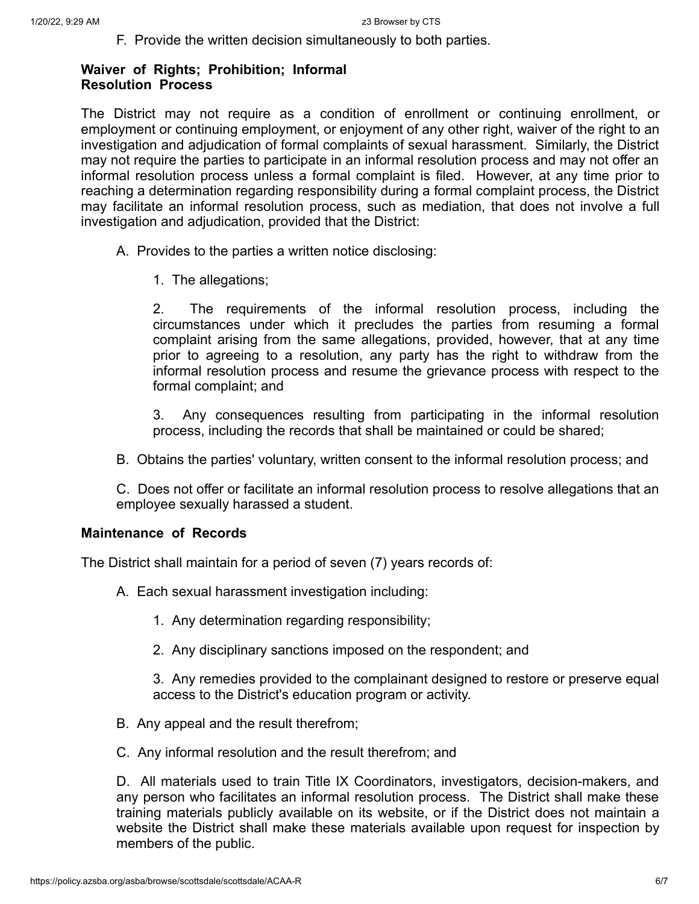F. Provide the written decision simultaneously to both parties.

## **Waiver of Rights; Prohibition; Informal Resolution Process**

The District may not require as a condition of enrollment or continuing enrollment, or employment or continuing employment, or enjoyment of any other right, waiver of the right to an investigation and adjudication of formal complaints of sexual harassment. Similarly, the District may not require the parties to participate in an informal resolution process and may not offer an informal resolution process unless a formal complaint is filed. However, at any time prior to reaching a determination regarding responsibility during a formal complaint process, the District may facilitate an informal resolution process, such as mediation, that does not involve a full investigation and adjudication, provided that the District:

- A. Provides to the parties a written notice disclosing:
	- 1. The allegations;

2. The requirements of the informal resolution process, including the circumstances under which it precludes the parties from resuming a formal complaint arising from the same allegations, provided, however, that at any time prior to agreeing to a resolution, any party has the right to withdraw from the informal resolution process and resume the grievance process with respect to the formal complaint; and

3. Any consequences resulting from participating in the informal resolution process, including the records that shall be maintained or could be shared;

B. Obtains the parties' voluntary, written consent to the informal resolution process; and

C. Does not offer or facilitate an informal resolution process to resolve allegations that an employee sexually harassed a student.

# **Maintenance of Records**

The District shall maintain for a period of seven (7) years records of:

A. Each sexual harassment investigation including:

- 1. Any determination regarding responsibility;
- 2. Any disciplinary sanctions imposed on the respondent; and

3. Any remedies provided to the complainant designed to restore or preserve equal access to the District's education program or activity.

- B. Any appeal and the result therefrom;
- C. Any informal resolution and the result therefrom; and

D. All materials used to train Title IX Coordinators, investigators, decision-makers, and any person who facilitates an informal resolution process. The District shall make these training materials publicly available on its website, or if the District does not maintain a website the District shall make these materials available upon request for inspection by members of the public.